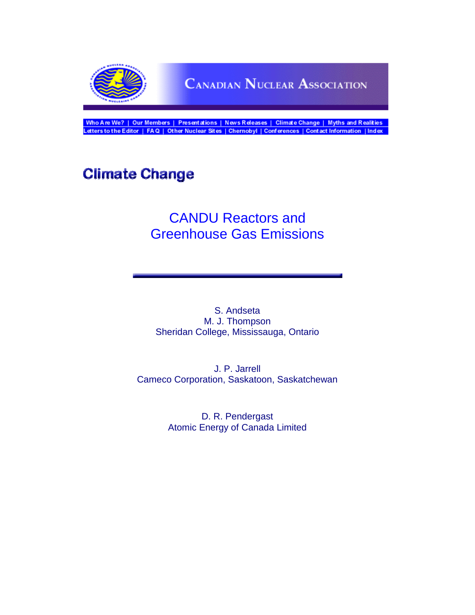

Who Are We? | Our Members | Presentations | News Releases | Climate Change | Myths and Realities<br>Letters to the Editor | FAQ | Other Nuclear Sites | Chernobyl | Conferences | Contact Information | Index

# **Climate Change**

## CANDU Reactors and Greenhouse Gas Emissions

S. Andseta M. J. Thompson Sheridan College, Mississauga, Ontario

J. P. Jarrell Cameco Corporation, Saskatoon, Saskatchewan

> D. R. Pendergast Atomic Energy of Canada Limited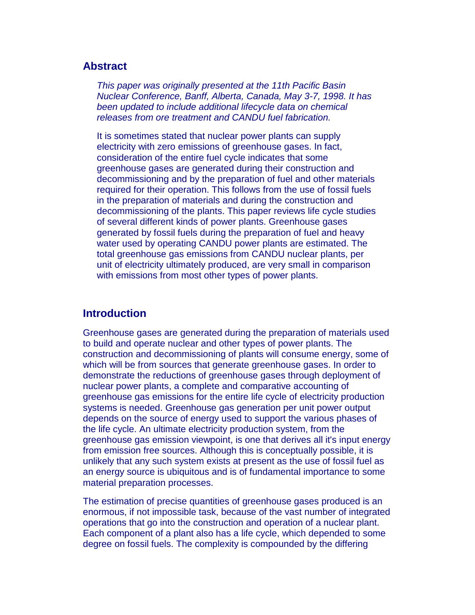## **Abstract**

*This paper was originally presented at the 11th Pacific Basin Nuclear Conference, Banff, Alberta, Canada, May 3-7, 1998. It has been updated to include additional lifecycle data on chemical releases from ore treatment and CANDU fuel fabrication.*

It is sometimes stated that nuclear power plants can supply electricity with zero emissions of greenhouse gases. In fact, consideration of the entire fuel cycle indicates that some greenhouse gases are generated during their construction and decommissioning and by the preparation of fuel and other materials required for their operation. This follows from the use of fossil fuels in the preparation of materials and during the construction and decommissioning of the plants. This paper reviews life cycle studies of several different kinds of power plants. Greenhouse gases generated by fossil fuels during the preparation of fuel and heavy water used by operating CANDU power plants are estimated. The total greenhouse gas emissions from CANDU nuclear plants, per unit of electricity ultimately produced, are very small in comparison with emissions from most other types of power plants.

## **Introduction**

Greenhouse gases are generated during the preparation of materials used to build and operate nuclear and other types of power plants. The construction and decommissioning of plants will consume energy, some of which will be from sources that generate greenhouse gases. In order to demonstrate the reductions of greenhouse gases through deployment of nuclear power plants, a complete and comparative accounting of greenhouse gas emissions for the entire life cycle of electricity production systems is needed. Greenhouse gas generation per unit power output depends on the source of energy used to support the various phases of the life cycle. An ultimate electricity production system, from the greenhouse gas emission viewpoint, is one that derives all it's input energy from emission free sources. Although this is conceptually possible, it is unlikely that any such system exists at present as the use of fossil fuel as an energy source is ubiquitous and is of fundamental importance to some material preparation processes.

The estimation of precise quantities of greenhouse gases produced is an enormous, if not impossible task, because of the vast number of integrated operations that go into the construction and operation of a nuclear plant. Each component of a plant also has a life cycle, which depended to some degree on fossil fuels. The complexity is compounded by the differing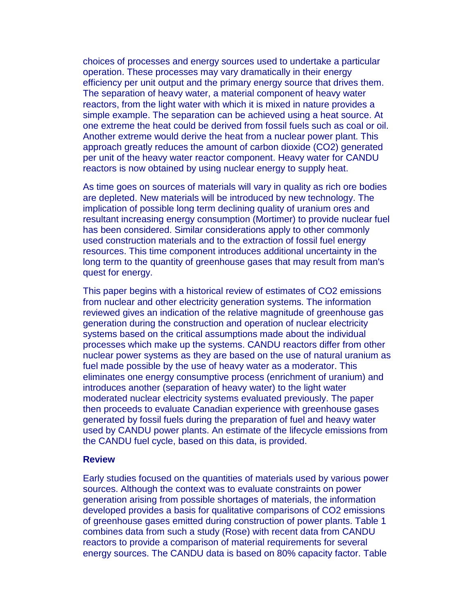choices of processes and energy sources used to undertake a particular operation. These processes may vary dramatically in their energy efficiency per unit output and the primary energy source that drives them. The separation of heavy water, a material component of heavy water reactors, from the light water with which it is mixed in nature provides a simple example. The separation can be achieved using a heat source. At one extreme the heat could be derived from fossil fuels such as coal or oil. Another extreme would derive the heat from a nuclear power plant. This approach greatly reduces the amount of carbon dioxide (CO2) generated per unit of the heavy water reactor component. Heavy water for CANDU reactors is now obtained by using nuclear energy to supply heat.

As time goes on sources of materials will vary in quality as rich ore bodies are depleted. New materials will be introduced by new technology. The implication of possible long term declining quality of uranium ores and resultant increasing energy consumption (Mortimer) to provide nuclear fuel has been considered. Similar considerations apply to other commonly used construction materials and to the extraction of fossil fuel energy resources. This time component introduces additional uncertainty in the long term to the quantity of greenhouse gases that may result from man's quest for energy.

This paper begins with a historical review of estimates of CO2 emissions from nuclear and other electricity generation systems. The information reviewed gives an indication of the relative magnitude of greenhouse gas generation during the construction and operation of nuclear electricity systems based on the critical assumptions made about the individual processes which make up the systems. CANDU reactors differ from other nuclear power systems as they are based on the use of natural uranium as fuel made possible by the use of heavy water as a moderator. This eliminates one energy consumptive process (enrichment of uranium) and introduces another (separation of heavy water) to the light water moderated nuclear electricity systems evaluated previously. The paper then proceeds to evaluate Canadian experience with greenhouse gases generated by fossil fuels during the preparation of fuel and heavy water used by CANDU power plants. An estimate of the lifecycle emissions from the CANDU fuel cycle, based on this data, is provided.

#### **Review**

Early studies focused on the quantities of materials used by various power sources. Although the context was to evaluate constraints on power generation arising from possible shortages of materials, the information developed provides a basis for qualitative comparisons of CO2 emissions of greenhouse gases emitted during construction of power plants. Table 1 combines data from such a study (Rose) with recent data from CANDU reactors to provide a comparison of material requirements for several energy sources. The CANDU data is based on 80% capacity factor. Table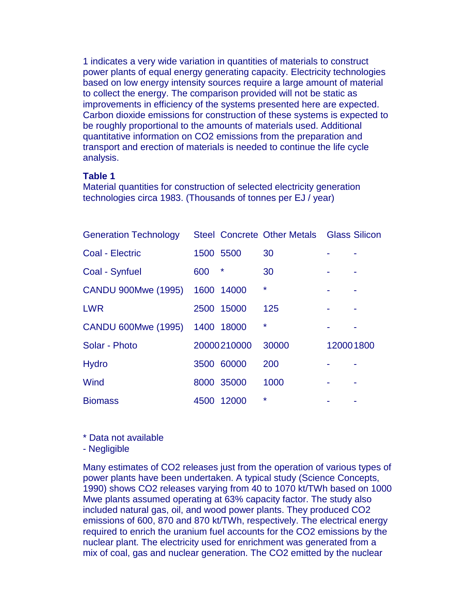1 indicates a very wide variation in quantities of materials to construct power plants of equal energy generating capacity. Electricity technologies based on low energy intensity sources require a large amount of material to collect the energy. The comparison provided will not be static as improvements in efficiency of the systems presented here are expected. Carbon dioxide emissions for construction of these systems is expected to be roughly proportional to the amounts of materials used. Additional quantitative information on CO2 emissions from the preparation and transport and erection of materials is needed to continue the life cycle analysis.

## **Table 1**

Material quantities for construction of selected electricity generation technologies circa 1983. (Thousands of tonnes per EJ / year)

| <b>Generation Technology</b> |           |             | Steel Concrete Other Metals Glass Silicon |           |  |
|------------------------------|-----------|-------------|-------------------------------------------|-----------|--|
| Coal - Electric              | 1500 5500 |             | 30                                        |           |  |
| Coal - Synfuel               | 600       | *           | 30                                        |           |  |
| CANDU 900Mwe (1995)          |           | 1600 14000  | $\star$                                   |           |  |
| <b>LWR</b>                   |           | 2500 15000  | 125                                       |           |  |
| CANDU 600Mwe (1995)          |           | 1400 18000  | $\star$                                   |           |  |
| Solar - Photo                |           | 20000210000 | 30000                                     | 120001800 |  |
| <b>Hydro</b>                 |           | 3500 60000  | 200                                       |           |  |
| Wind                         |           | 8000 35000  | 1000                                      |           |  |
| <b>Biomass</b>               | 4500      | 12000       | $\star$                                   |           |  |

\* Data not available

- Negligible

Many estimates of CO2 releases just from the operation of various types of power plants have been undertaken. A typical study (Science Concepts, 1990) shows CO2 releases varying from 40 to 1070 kt/TWh based on 1000 Mwe plants assumed operating at 63% capacity factor. The study also included natural gas, oil, and wood power plants. They produced CO2 emissions of 600, 870 and 870 kt/TWh, respectively. The electrical energy required to enrich the uranium fuel accounts for the CO2 emissions by the nuclear plant. The electricity used for enrichment was generated from a mix of coal, gas and nuclear generation. The CO2 emitted by the nuclear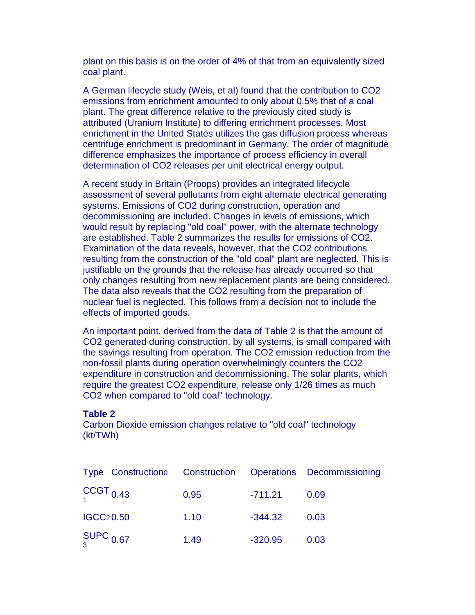plant on this basis is on the order of 4% of that from an equivalently sized coal plant.

A German lifecycle study (Weis, et al) found that the contribution to CO2 emissions from enrichment amounted to only about 0.5% that of a coal plant. The great difference relative to the previously cited study is attributed (Uranium Institute) to differing enrichment processes. Most enrichment in the United States utilizes the gas diffusion process whereas centrifuge enrichment is predominant in Germany. The order of magnitude difference emphasizes the importance of process efficiency in overall determination of CO2 releases per unit electrical energy output.

A recent study in Britain (Proops) provides an integrated lifecycle assessment of several pollutants from eight alternate electrical generating systems. Emissions of CO2 during construction, operation and decommissioning are included. Changes in levels of emissions, which would result by replacing "old coal" power, with the alternate technology are established. Table 2 summarizes the results for emissions of CO2. Examination of the data reveals, however, that the CO2 contributions resulting from the construction of the "old coal" plant are neglected. This is justifiable on the grounds that the release has already occurred so that only changes resulting from new replacement plants are being considered. The data also reveals that the CO2 resulting from the preparation of nuclear fuel is neglected. This follows from a decision not to include the effects of imported goods.

An important point, derived from the data of Table 2 is that the amount of CO2 generated during construction, by all systems, is small compared with the savings resulting from operation. The CO2 emission reduction from the non-fossil plants during operation overwhelmingly counters the CO2 expenditure in construction and decommissioning. The solar plants, which require the greatest CO2 expenditure, release only 1/26 times as much CO2 when compared to "old coal" technology.

## **Table 2**

Carbon Dioxide emission changes relative to "old coal" technology (kt/TWh)

| Type Construction Construction Operations Decommissioning |      |           |      |
|-----------------------------------------------------------|------|-----------|------|
| $CCGT_{0.43}$                                             | 0.95 | $-711.21$ | 0.09 |
| <b>IGCC20.50</b>                                          | 1.10 | $-344.32$ | 0.03 |
| $\frac{\text{SUPC}}{3}$ 0.67                              | 1.49 | $-320.95$ | 0.03 |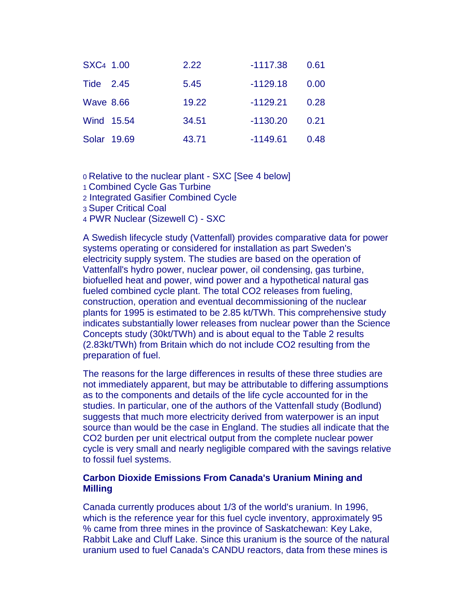| SXC <sub>4</sub> 1.00 | 2.22  | $-1117.38$ | 0.61 |
|-----------------------|-------|------------|------|
| Tide 2.45             | 5.45  | $-1129.18$ | 0.00 |
| <b>Wave 8.66</b>      | 19.22 | $-1129.21$ | 0.28 |
| Wind 15.54            | 34.51 | $-1130.20$ | 0.21 |
| Solar 19.69           | 43.71 | $-1149.61$ | 0.48 |

0 Relative to the nuclear plant - SXC [See 4 below] 1 Combined Cycle Gas Turbine 2 Integrated Gasifier Combined Cycle

3 Super Critical Coal

4 PWR Nuclear (Sizewell C) - SXC

A Swedish lifecycle study (Vattenfall) provides comparative data for power systems operating or considered for installation as part Sweden's electricity supply system. The studies are based on the operation of Vattenfall's hydro power, nuclear power, oil condensing, gas turbine, biofuelled heat and power, wind power and a hypothetical natural gas fueled combined cycle plant. The total CO2 releases from fueling, construction, operation and eventual decommissioning of the nuclear plants for 1995 is estimated to be 2.85 kt/TWh. This comprehensive study indicates substantially lower releases from nuclear power than the Science Concepts study (30kt/TWh) and is about equal to the Table 2 results (2.83kt/TWh) from Britain which do not include CO2 resulting from the preparation of fuel.

The reasons for the large differences in results of these three studies are not immediately apparent, but may be attributable to differing assumptions as to the components and details of the life cycle accounted for in the studies. In particular, one of the authors of the Vattenfall study (Bodlund) suggests that much more electricity derived from waterpower is an input source than would be the case in England. The studies all indicate that the CO2 burden per unit electrical output from the complete nuclear power cycle is very small and nearly negligible compared with the savings relative to fossil fuel systems.

## **Carbon Dioxide Emissions From Canada's Uranium Mining and Milling**

Canada currently produces about 1/3 of the world's uranium. In 1996, which is the reference year for this fuel cycle inventory, approximately 95 % came from three mines in the province of Saskatchewan: Key Lake, Rabbit Lake and Cluff Lake. Since this uranium is the source of the natural uranium used to fuel Canada's CANDU reactors, data from these mines is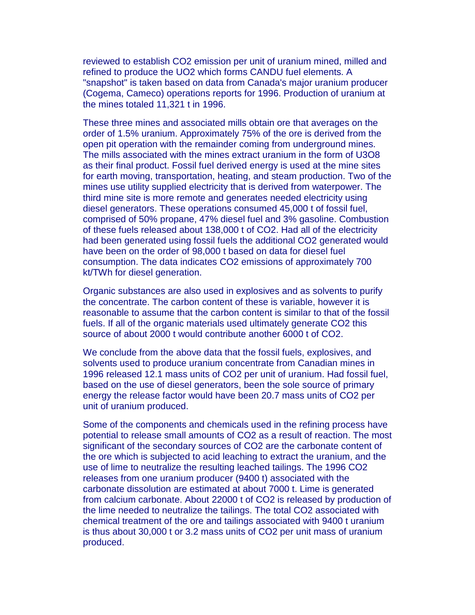reviewed to establish CO2 emission per unit of uranium mined, milled and refined to produce the UO2 which forms CANDU fuel elements. A "snapshot" is taken based on data from Canada's major uranium producer (Cogema, Cameco) operations reports for 1996. Production of uranium at the mines totaled 11,321 t in 1996.

These three mines and associated mills obtain ore that averages on the order of 1.5% uranium. Approximately 75% of the ore is derived from the open pit operation with the remainder coming from underground mines. The mills associated with the mines extract uranium in the form of U3O8 as their final product. Fossil fuel derived energy is used at the mine sites for earth moving, transportation, heating, and steam production. Two of the mines use utility supplied electricity that is derived from waterpower. The third mine site is more remote and generates needed electricity using diesel generators. These operations consumed 45,000 t of fossil fuel, comprised of 50% propane, 47% diesel fuel and 3% gasoline. Combustion of these fuels released about 138,000 t of CO2. Had all of the electricity had been generated using fossil fuels the additional CO2 generated would have been on the order of 98,000 t based on data for diesel fuel consumption. The data indicates CO2 emissions of approximately 700 kt/TWh for diesel generation.

Organic substances are also used in explosives and as solvents to purify the concentrate. The carbon content of these is variable, however it is reasonable to assume that the carbon content is similar to that of the fossil fuels. If all of the organic materials used ultimately generate CO2 this source of about 2000 t would contribute another 6000 t of CO2.

We conclude from the above data that the fossil fuels, explosives, and solvents used to produce uranium concentrate from Canadian mines in 1996 released 12.1 mass units of CO2 per unit of uranium. Had fossil fuel, based on the use of diesel generators, been the sole source of primary energy the release factor would have been 20.7 mass units of CO2 per unit of uranium produced.

Some of the components and chemicals used in the refining process have potential to release small amounts of CO2 as a result of reaction. The most significant of the secondary sources of CO2 are the carbonate content of the ore which is subjected to acid leaching to extract the uranium, and the use of lime to neutralize the resulting leached tailings. The 1996 CO2 releases from one uranium producer (9400 t) associated with the carbonate dissolution are estimated at about 7000 t. Lime is generated from calcium carbonate. About 22000 t of CO2 is released by production of the lime needed to neutralize the tailings. The total CO2 associated with chemical treatment of the ore and tailings associated with 9400 t uranium is thus about 30,000 t or 3.2 mass units of CO2 per unit mass of uranium produced.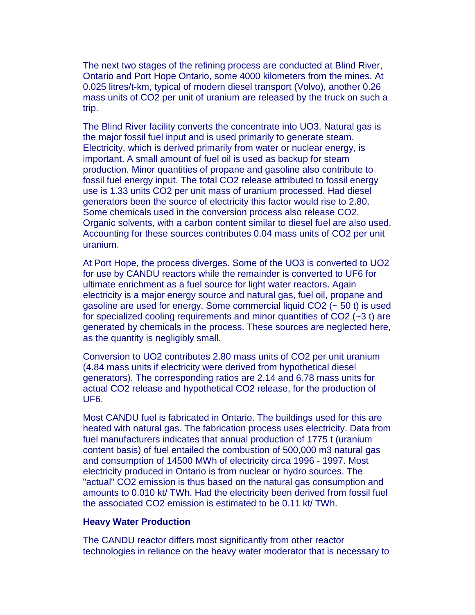The next two stages of the refining process are conducted at Blind River, Ontario and Port Hope Ontario, some 4000 kilometers from the mines. At 0.025 litres/t-km, typical of modern diesel transport (Volvo), another 0.26 mass units of CO2 per unit of uranium are released by the truck on such a trip.

The Blind River facility converts the concentrate into UO3. Natural gas is the major fossil fuel input and is used primarily to generate steam. Electricity, which is derived primarily from water or nuclear energy, is important. A small amount of fuel oil is used as backup for steam production. Minor quantities of propane and gasoline also contribute to fossil fuel energy input. The total CO2 release attributed to fossil energy use is 1.33 units CO2 per unit mass of uranium processed. Had diesel generators been the source of electricity this factor would rise to 2.80. Some chemicals used in the conversion process also release CO2. Organic solvents, with a carbon content similar to diesel fuel are also used. Accounting for these sources contributes 0.04 mass units of CO2 per unit uranium.

At Port Hope, the process diverges. Some of the UO3 is converted to UO2 for use by CANDU reactors while the remainder is converted to UF6 for ultimate enrichment as a fuel source for light water reactors. Again electricity is a major energy source and natural gas, fuel oil, propane and gasoline are used for energy. Some commercial liquid CO2 (~ 50 t) is used for specialized cooling requirements and minor quantities of CO2 (~3 t) are generated by chemicals in the process. These sources are neglected here, as the quantity is negligibly small.

Conversion to UO2 contributes 2.80 mass units of CO2 per unit uranium (4.84 mass units if electricity were derived from hypothetical diesel generators). The corresponding ratios are 2.14 and 6.78 mass units for actual CO2 release and hypothetical CO2 release, for the production of UF6.

Most CANDU fuel is fabricated in Ontario. The buildings used for this are heated with natural gas. The fabrication process uses electricity. Data from fuel manufacturers indicates that annual production of 1775 t (uranium content basis) of fuel entailed the combustion of 500,000 m3 natural gas and consumption of 14500 MWh of electricity circa 1996 - 1997. Most electricity produced in Ontario is from nuclear or hydro sources. The "actual" CO2 emission is thus based on the natural gas consumption and amounts to 0.010 kt/ TWh. Had the electricity been derived from fossil fuel the associated CO2 emission is estimated to be 0.11 kt/ TWh.

#### **Heavy Water Production**

The CANDU reactor differs most significantly from other reactor technologies in reliance on the heavy water moderator that is necessary to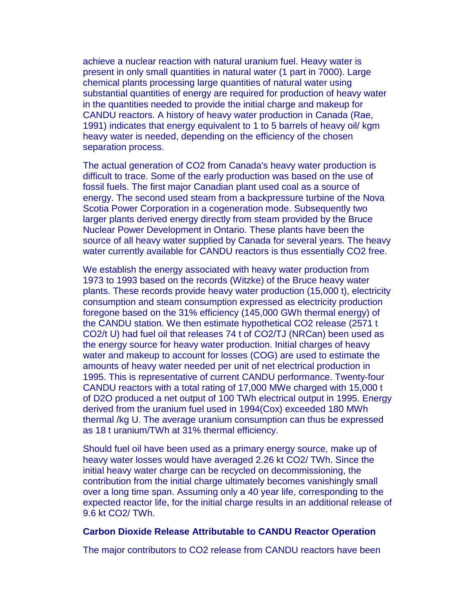achieve a nuclear reaction with natural uranium fuel. Heavy water is present in only small quantities in natural water (1 part in 7000). Large chemical plants processing large quantities of natural water using substantial quantities of energy are required for production of heavy water in the quantities needed to provide the initial charge and makeup for CANDU reactors. A history of heavy water production in Canada (Rae, 1991) indicates that energy equivalent to 1 to 5 barrels of heavy oil/ kgm heavy water is needed, depending on the efficiency of the chosen separation process.

The actual generation of CO2 from Canada's heavy water production is difficult to trace. Some of the early production was based on the use of fossil fuels. The first major Canadian plant used coal as a source of energy. The second used steam from a backpressure turbine of the Nova Scotia Power Corporation in a cogeneration mode. Subsequently two larger plants derived energy directly from steam provided by the Bruce Nuclear Power Development in Ontario. These plants have been the source of all heavy water supplied by Canada for several years. The heavy water currently available for CANDU reactors is thus essentially CO2 free.

We establish the energy associated with heavy water production from 1973 to 1993 based on the records (Witzke) of the Bruce heavy water plants. These records provide heavy water production (15,000 t), electricity consumption and steam consumption expressed as electricity production foregone based on the 31% efficiency (145,000 GWh thermal energy) of the CANDU station. We then estimate hypothetical CO2 release (2571 t CO2/t U) had fuel oil that releases 74 t of CO2/TJ (NRCan) been used as the energy source for heavy water production. Initial charges of heavy water and makeup to account for losses (COG) are used to estimate the amounts of heavy water needed per unit of net electrical production in 1995. This is representative of current CANDU performance. Twenty-four CANDU reactors with a total rating of 17,000 MWe charged with 15,000 t of D2O produced a net output of 100 TWh electrical output in 1995. Energy derived from the uranium fuel used in 1994(Cox) exceeded 180 MWh thermal /kg U. The average uranium consumption can thus be expressed as 18 t uranium/TWh at 31% thermal efficiency.

Should fuel oil have been used as a primary energy source, make up of heavy water losses would have averaged 2.26 kt CO2/ TWh. Since the initial heavy water charge can be recycled on decommissioning, the contribution from the initial charge ultimately becomes vanishingly small over a long time span. Assuming only a 40 year life, corresponding to the expected reactor life, for the initial charge results in an additional release of 9.6 kt CO2/ TWh.

#### **Carbon Dioxide Release Attributable to CANDU Reactor Operation**

The major contributors to CO2 release from CANDU reactors have been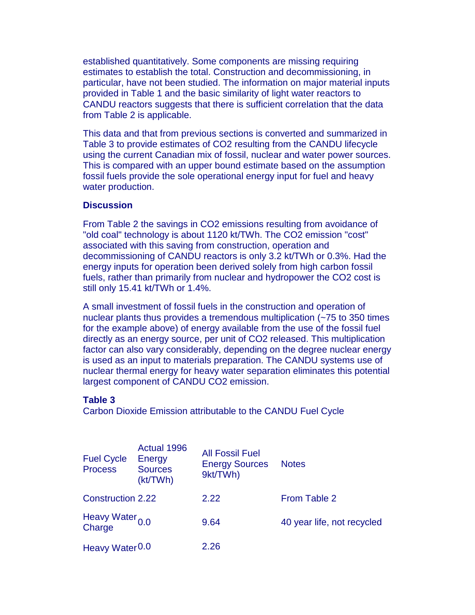established quantitatively. Some components are missing requiring estimates to establish the total. Construction and decommissioning, in particular, have not been studied. The information on major material inputs provided in Table 1 and the basic similarity of light water reactors to CANDU reactors suggests that there is sufficient correlation that the data from Table 2 is applicable.

This data and that from previous sections is converted and summarized in Table 3 to provide estimates of CO2 resulting from the CANDU lifecycle using the current Canadian mix of fossil, nuclear and water power sources. This is compared with an upper bound estimate based on the assumption fossil fuels provide the sole operational energy input for fuel and heavy water production.

## **Discussion**

From Table 2 the savings in CO2 emissions resulting from avoidance of "old coal" technology is about 1120 kt/TWh. The CO2 emission "cost" associated with this saving from construction, operation and decommissioning of CANDU reactors is only 3.2 kt/TWh or 0.3%. Had the energy inputs for operation been derived solely from high carbon fossil fuels, rather than primarily from nuclear and hydropower the CO2 cost is still only 15.41 kt/TWh or 1.4%.

A small investment of fossil fuels in the construction and operation of nuclear plants thus provides a tremendous multiplication (~75 to 350 times for the example above) of energy available from the use of the fossil fuel directly as an energy source, per unit of CO2 released. This multiplication factor can also vary considerably, depending on the degree nuclear energy is used as an input to materials preparation. The CANDU systems use of nuclear thermal energy for heavy water separation eliminates this potential largest component of CANDU CO2 emission.

#### **Table 3**

Carbon Dioxide Emission attributable to the CANDU Fuel Cycle

| <b>Fuel Cycle</b><br><b>Process</b>  | Actual 1996<br>Energy<br><b>Sources</b><br>(kt/TWh) | <b>All Fossil Fuel</b><br><b>Energy Sources</b><br>9kt/TWh) | <b>Notes</b>               |
|--------------------------------------|-----------------------------------------------------|-------------------------------------------------------------|----------------------------|
| <b>Construction 2.22</b>             |                                                     | 2.22                                                        | From Table 2               |
| Heavy Water <sub>0.0</sub><br>Charge |                                                     | 9.64                                                        | 40 year life, not recycled |
| Heavy Water <sup>0.0</sup>           |                                                     | 2.26                                                        |                            |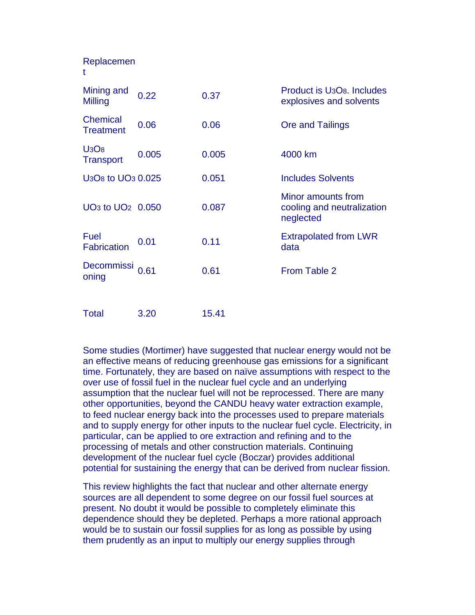| Replacemen<br>t                                        |       |       |                                                                                |
|--------------------------------------------------------|-------|-------|--------------------------------------------------------------------------------|
| Mining and<br>Milling                                  | 0.22  | 0.37  | Product is U <sub>3</sub> O <sub>8</sub> , Includes<br>explosives and solvents |
| <b>Chemical</b><br><b>Treatment</b>                    | 0.06  | 0.06  | Ore and Tailings                                                               |
| U <sub>3</sub> O <sub>8</sub><br><b>Transport</b>      | 0.005 | 0.005 | 4000 km                                                                        |
| U <sub>3</sub> O <sub>8</sub> to UO <sub>3</sub> 0.025 |       | 0.051 | <b>Includes Solvents</b>                                                       |
| UO <sub>3</sub> to UO <sub>2</sub> 0.050               |       | 0.087 | Minor amounts from<br>cooling and neutralization<br>neglected                  |
| Fuel<br><b>Fabrication</b>                             | 0.01  | 0.11  | <b>Extrapolated from LWR</b><br>data                                           |
| Decommissi<br>oning                                    | 0.61  | 0.61  | From Table 2                                                                   |
| <b>Total</b>                                           | 3.20  | 15.41 |                                                                                |

Some studies (Mortimer) have suggested that nuclear energy would not be an effective means of reducing greenhouse gas emissions for a significant time. Fortunately, they are based on naïve assumptions with respect to the over use of fossil fuel in the nuclear fuel cycle and an underlying assumption that the nuclear fuel will not be reprocessed. There are many other opportunities, beyond the CANDU heavy water extraction example, to feed nuclear energy back into the processes used to prepare materials and to supply energy for other inputs to the nuclear fuel cycle. Electricity, in particular, can be applied to ore extraction and refining and to the processing of metals and other construction materials. Continuing development of the nuclear fuel cycle (Boczar) provides additional potential for sustaining the energy that can be derived from nuclear fission.

This review highlights the fact that nuclear and other alternate energy sources are all dependent to some degree on our fossil fuel sources at present. No doubt it would be possible to completely eliminate this dependence should they be depleted. Perhaps a more rational approach would be to sustain our fossil supplies for as long as possible by using them prudently as an input to multiply our energy supplies through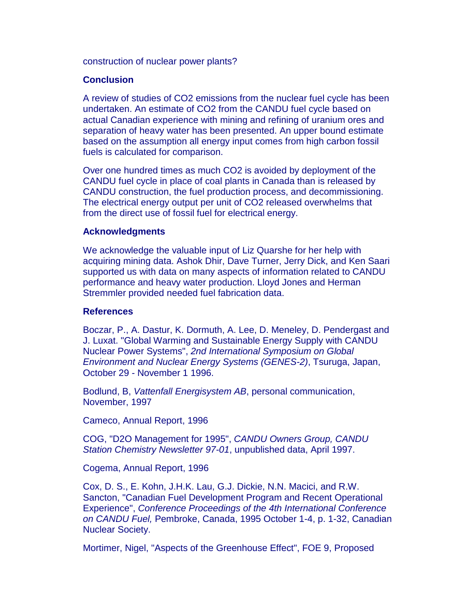construction of nuclear power plants?

## **Conclusion**

A review of studies of CO2 emissions from the nuclear fuel cycle has been undertaken. An estimate of CO2 from the CANDU fuel cycle based on actual Canadian experience with mining and refining of uranium ores and separation of heavy water has been presented. An upper bound estimate based on the assumption all energy input comes from high carbon fossil fuels is calculated for comparison.

Over one hundred times as much CO2 is avoided by deployment of the CANDU fuel cycle in place of coal plants in Canada than is released by CANDU construction, the fuel production process, and decommissioning. The electrical energy output per unit of CO2 released overwhelms that from the direct use of fossil fuel for electrical energy.

## **Acknowledgments**

We acknowledge the valuable input of Liz Quarshe for her help with acquiring mining data. Ashok Dhir, Dave Turner, Jerry Dick, and Ken Saari supported us with data on many aspects of information related to CANDU performance and heavy water production. Lloyd Jones and Herman Stremmler provided needed fuel fabrication data.

## **References**

Boczar, P., A. Dastur, K. Dormuth, A. Lee, D. Meneley, D. Pendergast and J. Luxat. "Global Warming and Sustainable Energy Supply with CANDU Nuclear Power Systems", *2nd International Symposium on Global Environment and Nuclear Energy Systems (GENES-2)*, Tsuruga, Japan, October 29 - November 1 1996.

Bodlund, B, *Vattenfall Energisystem AB*, personal communication, November, 1997

Cameco, Annual Report, 1996

COG, "D2O Management for 1995", *CANDU Owners Group, CANDU Station Chemistry Newsletter 97-01*, unpublished data, April 1997.

Cogema, Annual Report, 1996

Cox, D. S., E. Kohn, J.H.K. Lau, G.J. Dickie, N.N. Macici, and R.W. Sancton, "Canadian Fuel Development Program and Recent Operational Experience", *Conference Proceedings of the 4th International Conference on CANDU Fuel,* Pembroke, Canada, 1995 October 1-4, p. 1-32, Canadian Nuclear Society.

Mortimer, Nigel, "Aspects of the Greenhouse Effect", FOE 9, Proposed